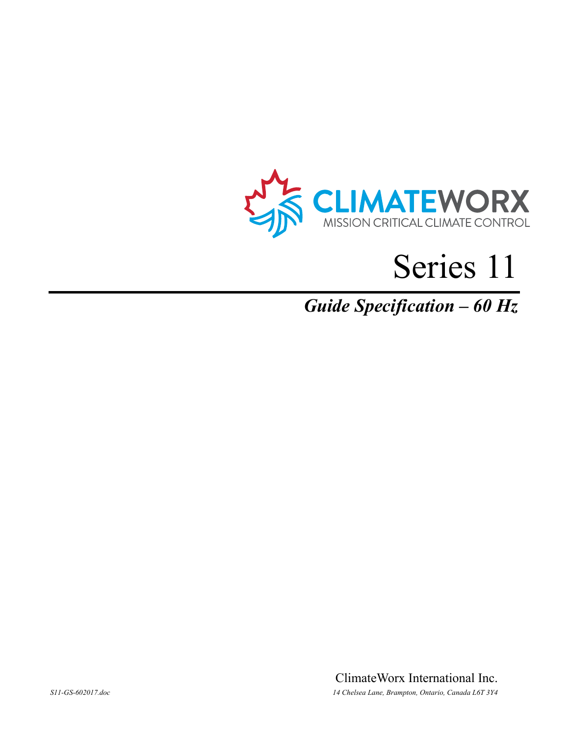

# Series 11

## *Guide Specification – 60 Hz*

ClimateWorx International Inc. *S11-GS-602017.doc 14 Chelsea Lane, Brampton, Ontario, Canada L6T 3Y4*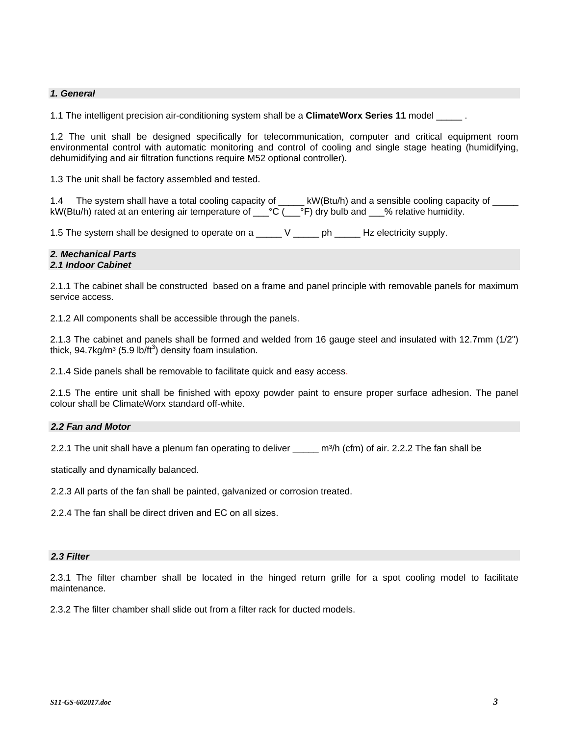### *1. General*

1.1 The intelligent precision air-conditioning system shall be a **ClimateWorx Series 11** model \_\_\_\_\_ .

1.2 The unit shall be designed specifically for telecommunication, computer and critical equipment room environmental control with automatic monitoring and control of cooling and single stage heating (humidifying, dehumidifying and air filtration functions require M52 optional controller).

1.3 The unit shall be factory assembled and tested.

1.4 The system shall have a total cooling capacity of \_\_\_\_\_ kW(Btu/h) and a sensible cooling capacity of \_\_\_\_\_ kW(Btu/h) rated at an entering air temperature of \_\_\_°C (\_\_\_°F) dry bulb and \_\_\_% relative humidity.

1.5 The system shall be designed to operate on a \_\_\_\_\_ V \_\_\_\_\_ ph \_\_\_\_\_ Hz electricity supply.

#### *2. Mechanical Parts 2.1 Indoor Cabinet*

2.1.1 The cabinet shall be constructed based on a frame and panel principle with removable panels for maximum service access.

2.1.2 All components shall be accessible through the panels.

2.1.3 The cabinet and panels shall be formed and welded from 16 gauge steel and insulated with 12.7mm (1/2") thick, 94.7 $kg/m^3$  (5.9 lb/ft<sup>3</sup>) density foam insulation.

2.1.4 Side panels shall be removable to facilitate quick and easy access.

2.1.5 The entire unit shall be finished with epoxy powder paint to ensure proper surface adhesion. The panel colour shall be ClimateWorx standard off-white.

### *2.2 Fan and Motor*

2.2.1 The unit shall have a plenum fan operating to deliver \_\_\_\_\_\_ m<sup>3</sup>/h (cfm) of air. 2.2.2 The fan shall be

statically and dynamically balanced.

2.2.3 All parts of the fan shall be painted, galvanized or corrosion treated.

2.2.4 The fan shall be direct driven and EC on all sizes.

### *2.3 Filter*

2.3.1 The filter chamber shall be located in the hinged return grille for a spot cooling model to facilitate maintenance.

2.3.2 The filter chamber shall slide out from a filter rack for ducted models.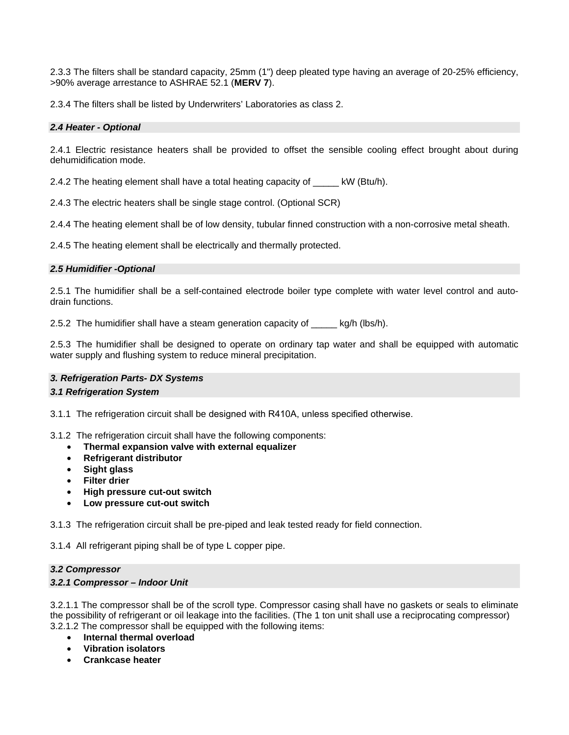2.3.3 The filters shall be standard capacity, 25mm (1") deep pleated type having an average of 20-25% efficiency, >90% average arrestance to ASHRAE 52.1 (**MERV 7**).

2.3.4 The filters shall be listed by Underwriters' Laboratories as class 2.

### *2.4 Heater - Optional*

2.4.1 Electric resistance heaters shall be provided to offset the sensible cooling effect brought about during dehumidification mode.

2.4.2 The heating element shall have a total heating capacity of \_\_\_\_\_ kW (Btu/h).

2.4.3 The electric heaters shall be single stage control. (Optional SCR)

2.4.4 The heating element shall be of low density, tubular finned construction with a non-corrosive metal sheath.

2.4.5 The heating element shall be electrically and thermally protected.

### *2.5 Humidifier -Optional*

2.5.1 The humidifier shall be a self-contained electrode boiler type complete with water level control and autodrain functions.

2.5.2 The humidifier shall have a steam generation capacity of  $kg/h$  (lbs/h).

2.5.3 The humidifier shall be designed to operate on ordinary tap water and shall be equipped with automatic water supply and flushing system to reduce mineral precipitation.

### *3. Refrigeration Parts- DX Systems*

### *3.1 Refrigeration System*

3.1.1 The refrigeration circuit shall be designed with R410A, unless specified otherwise.

3.1.2 The refrigeration circuit shall have the following components:

- **Thermal expansion valve with external equalizer**
- **Refrigerant distributor**
- **Sight glass**
- **Filter drier**
- **High pressure cut-out switch**
- **Low pressure cut-out switch**

3.1.3 The refrigeration circuit shall be pre-piped and leak tested ready for field connection.

3.1.4 All refrigerant piping shall be of type L copper pipe.

### *3.2 Compressor*

### *3.2.1 Compressor – Indoor Unit*

3.2.1.1 The compressor shall be of the scroll type. Compressor casing shall have no gaskets or seals to eliminate the possibility of refrigerant or oil leakage into the facilities. (The 1 ton unit shall use a reciprocating compressor) 3.2.1.2 The compressor shall be equipped with the following items:

- **Internal thermal overload**
- **Vibration isolators**
- **Crankcase heater**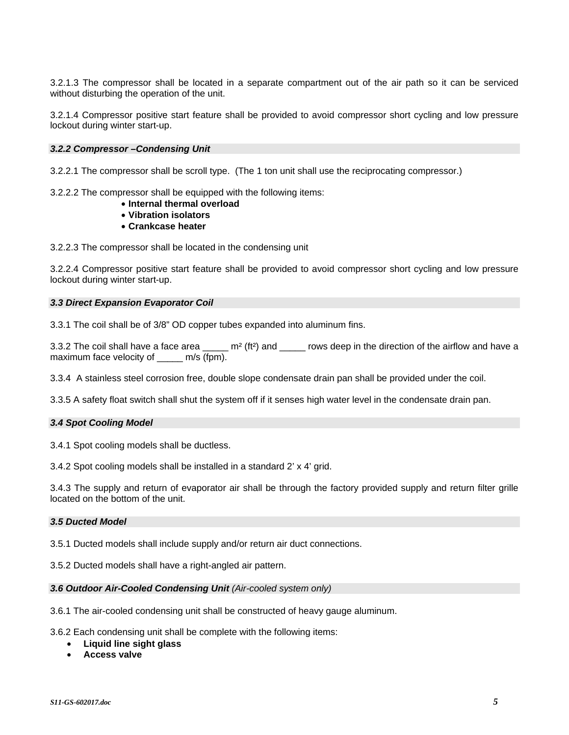3.2.1.3 The compressor shall be located in a separate compartment out of the air path so it can be serviced without disturbing the operation of the unit.

3.2.1.4 Compressor positive start feature shall be provided to avoid compressor short cycling and low pressure lockout during winter start-up.

### *3.2.2 Compressor –Condensing Unit*

3.2.2.1 The compressor shall be scroll type. (The 1 ton unit shall use the reciprocating compressor.)

3.2.2.2 The compressor shall be equipped with the following items:

- **Internal thermal overload**
- **Vibration isolators**
- **Crankcase heater**

3.2.2.3 The compressor shall be located in the condensing unit

3.2.2.4 Compressor positive start feature shall be provided to avoid compressor short cycling and low pressure lockout during winter start-up.

### *3.3 Direct Expansion Evaporator Coil*

3.3.1 The coil shall be of 3/8" OD copper tubes expanded into aluminum fins.

3.3.2 The coil shall have a face area  $\sum_{n=1}^{m^2}$  (ft<sup>2</sup>) and  $\sum_{n=1}^{m}$  rows deep in the direction of the airflow and have a maximum face velocity of \_\_\_\_\_ m/s (fpm).

3.3.4 A stainless steel corrosion free, double slope condensate drain pan shall be provided under the coil.

3.3.5 A safety float switch shall shut the system off if it senses high water level in the condensate drain pan.

### *3.4 Spot Cooling Model*

3.4.1 Spot cooling models shall be ductless.

3.4.2 Spot cooling models shall be installed in a standard 2' x 4' grid.

3.4.3 The supply and return of evaporator air shall be through the factory provided supply and return filter grille located on the bottom of the unit.

### *3.5 Ducted Model*

3.5.1 Ducted models shall include supply and/or return air duct connections.

3.5.2 Ducted models shall have a right-angled air pattern.

### *3.6 Outdoor Air-Cooled Condensing Unit (Air-cooled system only)*

3.6.1 The air-cooled condensing unit shall be constructed of heavy gauge aluminum.

3.6.2 Each condensing unit shall be complete with the following items:

- **Liquid line sight glass**
- **Access valve**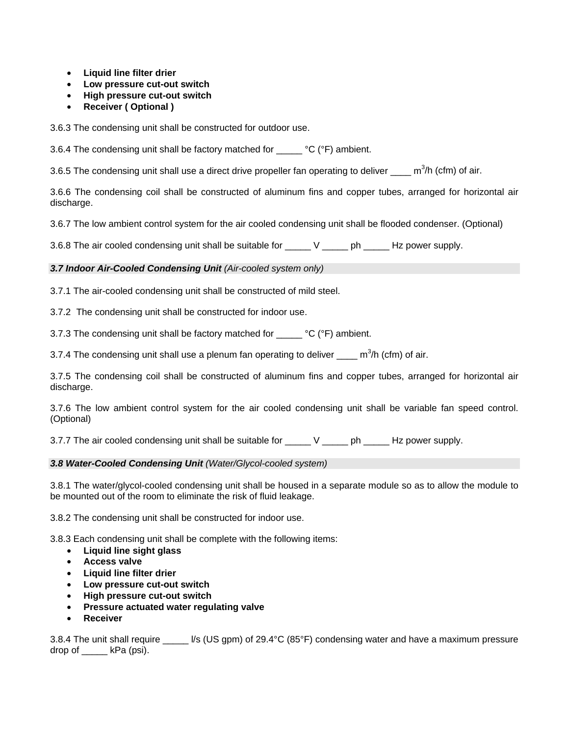- **Liquid line filter drier**
- **Low pressure cut-out switch**
- **High pressure cut-out switch**
- **Receiver ( Optional )**

3.6.3 The condensing unit shall be constructed for outdoor use.

3.6.4 The condensing unit shall be factory matched for \_\_\_\_\_ °C (°F) ambient.

3.6.5 The condensing unit shall use a direct drive propeller fan operating to deliver  $\_\_$ m<sup>3</sup>/h (cfm) of air.

3.6.6 The condensing coil shall be constructed of aluminum fins and copper tubes, arranged for horizontal air discharge.

3.6.7 The low ambient control system for the air cooled condensing unit shall be flooded condenser. (Optional)

3.6.8 The air cooled condensing unit shall be suitable for \_\_\_\_\_ V \_\_\_\_\_ ph \_\_\_\_\_ Hz power supply.

### *3.7 Indoor Air-Cooled Condensing Unit (Air-cooled system only)*

3.7.1 The air-cooled condensing unit shall be constructed of mild steel.

3.7.2 The condensing unit shall be constructed for indoor use.

3.7.3 The condensing unit shall be factory matched for  $\degree$  °C ( $\degree$ F) ambient.

3.7.4 The condensing unit shall use a plenum fan operating to deliver  $\_\_$ m<sup>3</sup>/h (cfm) of air.

3.7.5 The condensing coil shall be constructed of aluminum fins and copper tubes, arranged for horizontal air discharge.

3.7.6 The low ambient control system for the air cooled condensing unit shall be variable fan speed control. (Optional)

3.7.7 The air cooled condensing unit shall be suitable for  $V$  ph  $Hz$  power supply.

### *3.8 Water-Cooled Condensing Unit (Water/Glycol-cooled system)*

3.8.1 The water/glycol-cooled condensing unit shall be housed in a separate module so as to allow the module to be mounted out of the room to eliminate the risk of fluid leakage.

3.8.2 The condensing unit shall be constructed for indoor use.

3.8.3 Each condensing unit shall be complete with the following items:

- **Liquid line sight glass**
- **Access valve**
- **Liquid line filter drier**
- **Low pressure cut-out switch**
- **High pressure cut-out switch**
- **Pressure actuated water regulating valve**
- **Receiver**

3.8.4 The unit shall require  $\frac{1}{s}$  (US gpm) of 29.4°C (85°F) condensing water and have a maximum pressure drop of kPa (psi).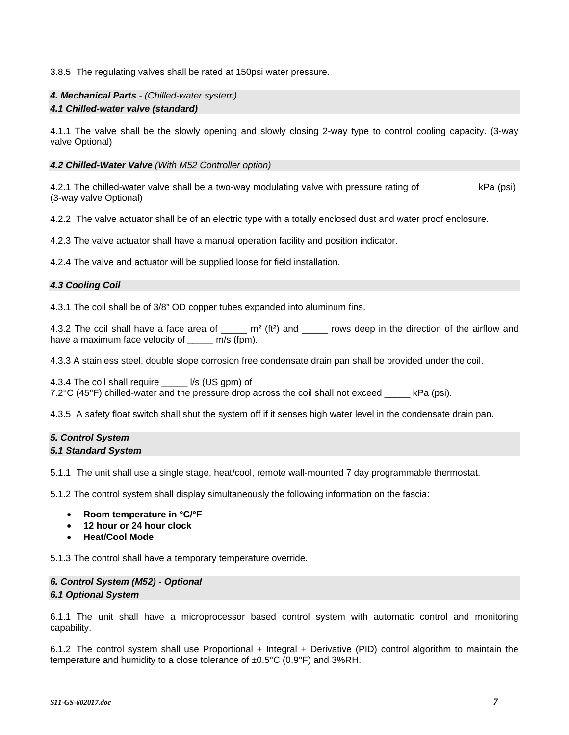3.8.5 The regulating valves shall be rated at 150psi water pressure.

### *4. Mechanical Parts - (Chilled-water system)*

### *4.1 Chilled-water valve (standard)*

4.1.1 The valve shall be the slowly opening and slowly closing 2-way type to control cooling capacity. (3-way valve Optional)

### *4.2 Chilled-Water Valve (With M52 Controller option)*

4.2.1 The chilled-water valve shall be a two-way modulating valve with pressure rating of kPa (psi). (3-way valve Optional)

4.2.2 The valve actuator shall be of an electric type with a totally enclosed dust and water proof enclosure.

4.2.3 The valve actuator shall have a manual operation facility and position indicator.

4.2.4 The valve and actuator will be supplied loose for field installation.

### *4.3 Cooling Coil*

4.3.1 The coil shall be of 3/8" OD copper tubes expanded into aluminum fins.

4.3.2 The coil shall have a face area of  $\frac{m^2}{t^2}$  and  $\frac{m}{t}$  rows deep in the direction of the airflow and have a maximum face velocity of \_\_\_\_\_ m/s (fpm).

4.3.3 A stainless steel, double slope corrosion free condensate drain pan shall be provided under the coil.

4.3.4 The coil shall require \_\_\_\_\_ l/s (US gpm) of 7.2°C (45°F) chilled-water and the pressure drop across the coil shall not exceed \_\_\_\_\_ kPa (psi).

4.3.5 A safety float switch shall shut the system off if it senses high water level in the condensate drain pan.

### *5. Control System*

### *5.1 Standard System*

5.1.1 The unit shall use a single stage, heat/cool, remote wall-mounted 7 day programmable thermostat.

5.1.2 The control system shall display simultaneously the following information on the fascia:

- **Room temperature in °C/°F**
- **12 hour or 24 hour clock**
- **Heat/Cool Mode**

5.1.3 The control shall have a temporary temperature override.

### *6. Control System (M52) - Optional 6.1 Optional System*

6.1.1 The unit shall have a microprocessor based control system with automatic control and monitoring capability.

6.1.2 The control system shall use Proportional + Integral + Derivative (PID) control algorithm to maintain the temperature and humidity to a close tolerance of ±0.5°C (0.9°F) and 3%RH.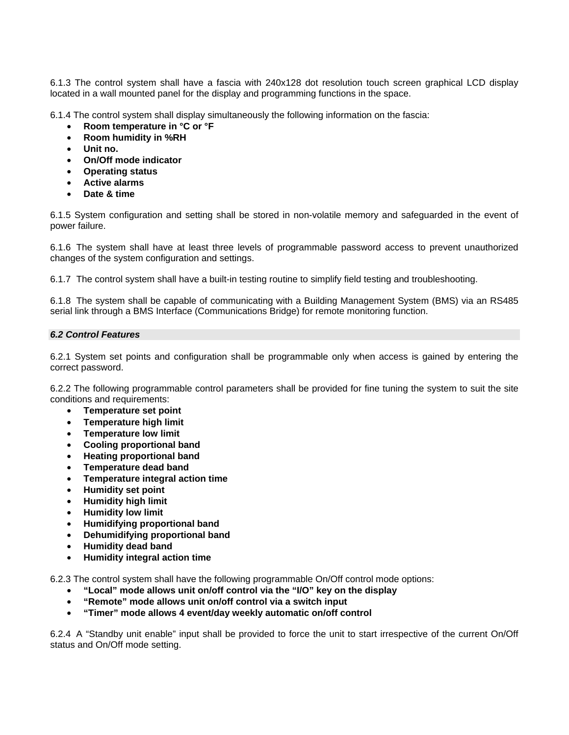6.1.3 The control system shall have a fascia with 240x128 dot resolution touch screen graphical LCD display located in a wall mounted panel for the display and programming functions in the space.

6.1.4 The control system shall display simultaneously the following information on the fascia:

- **Room temperature in °C or °F**
- **Room humidity in %RH**
- **Unit no.**
- **On/Off mode indicator**
- **Operating status**
- **Active alarms**
- **Date & time**

6.1.5 System configuration and setting shall be stored in non-volatile memory and safeguarded in the event of power failure.

6.1.6 The system shall have at least three levels of programmable password access to prevent unauthorized changes of the system configuration and settings.

6.1.7 The control system shall have a built-in testing routine to simplify field testing and troubleshooting.

6.1.8 The system shall be capable of communicating with a Building Management System (BMS) via an RS485 serial link through a BMS Interface (Communications Bridge) for remote monitoring function.

### *6.2 Control Features*

6.2.1 System set points and configuration shall be programmable only when access is gained by entering the correct password.

6.2.2 The following programmable control parameters shall be provided for fine tuning the system to suit the site conditions and requirements:

- **Temperature set point**
- **Temperature high limit**
- **Temperature low limit**
- **Cooling proportional band**
- **Heating proportional band**
- **Temperature dead band**
- **Temperature integral action time**
- **Humidity set point**
- **Humidity high limit**
- **Humidity low limit**
- **Humidifying proportional band**
- **Dehumidifying proportional band**
- **Humidity dead band**
- **Humidity integral action time**

6.2.3 The control system shall have the following programmable On/Off control mode options:

- **"Local" mode allows unit on/off control via the "I/O" key on the display**
- **"Remote" mode allows unit on/off control via a switch input**
- **"Timer" mode allows 4 event/day weekly automatic on/off control**

6.2.4 A "Standby unit enable" input shall be provided to force the unit to start irrespective of the current On/Off status and On/Off mode setting.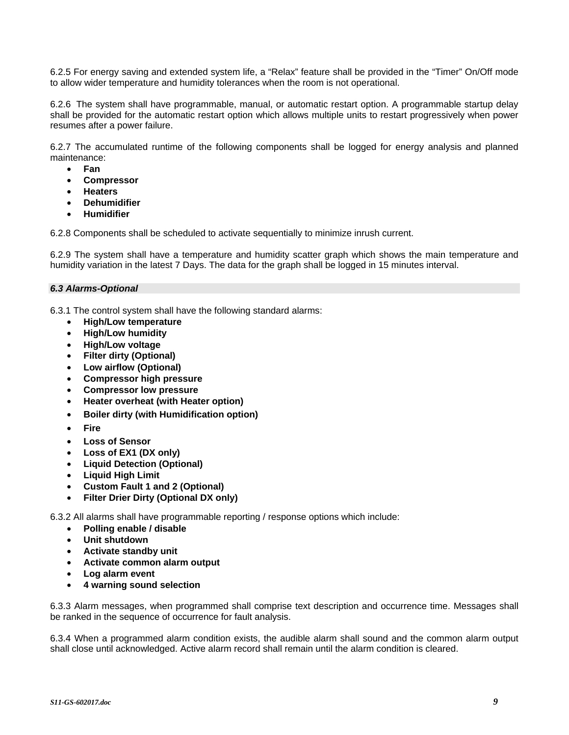6.2.5 For energy saving and extended system life, a "Relax" feature shall be provided in the "Timer" On/Off mode to allow wider temperature and humidity tolerances when the room is not operational.

6.2.6 The system shall have programmable, manual, or automatic restart option. A programmable startup delay shall be provided for the automatic restart option which allows multiple units to restart progressively when power resumes after a power failure.

6.2.7 The accumulated runtime of the following components shall be logged for energy analysis and planned maintenance:

- **Fan**
- **Compressor**
- **Heaters**
- **Dehumidifier**
- **Humidifier**

6.2.8 Components shall be scheduled to activate sequentially to minimize inrush current.

6.2.9 The system shall have a temperature and humidity scatter graph which shows the main temperature and humidity variation in the latest 7 Days. The data for the graph shall be logged in 15 minutes interval.

### *6.3 Alarms-Optional*

6.3.1 The control system shall have the following standard alarms:

- **High/Low temperature**
- **High/Low humidity**
- **High/Low voltage**
- **Filter dirty (Optional)**
- **Low airflow (Optional)**
- **Compressor high pressure**
- **Compressor low pressure**
- **Heater overheat (with Heater option)**
- **Boiler dirty (with Humidification option)**
- **Fire**
- **Loss of Sensor**
- **Loss of EX1 (DX only)**
- **Liquid Detection (Optional)**
- **Liquid High Limit**
- **Custom Fault 1 and 2 (Optional)**
- **Filter Drier Dirty (Optional DX only)**

6.3.2 All alarms shall have programmable reporting / response options which include:

- **Polling enable / disable**
- **Unit shutdown**
- **Activate standby unit**
- **Activate common alarm output**
- **Log alarm event**
- **4 warning sound selection**

6.3.3 Alarm messages, when programmed shall comprise text description and occurrence time. Messages shall be ranked in the sequence of occurrence for fault analysis.

6.3.4 When a programmed alarm condition exists, the audible alarm shall sound and the common alarm output shall close until acknowledged. Active alarm record shall remain until the alarm condition is cleared.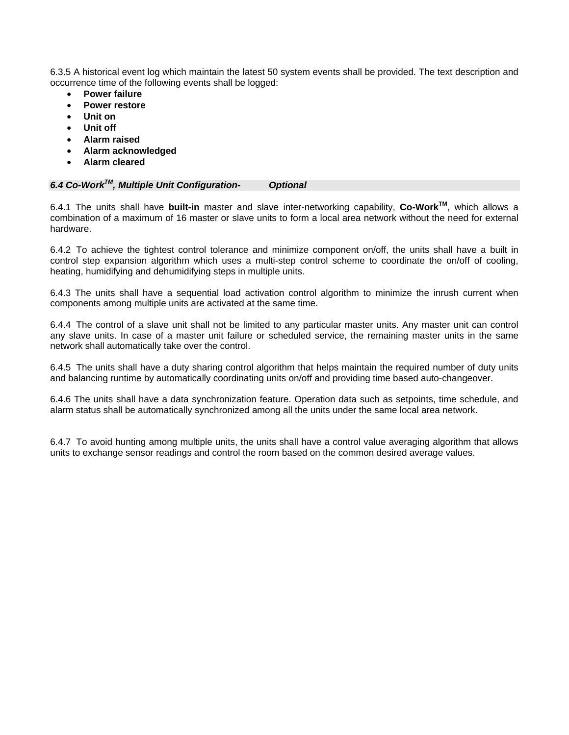6.3.5 A historical event log which maintain the latest 50 system events shall be provided. The text description and occurrence time of the following events shall be logged:

- **Power failure**
- **Power restore**
- **Unit on**
- **Unit off**
- **Alarm raised**
- **Alarm acknowledged**
- **Alarm cleared**

| 6.4 Co-Work™, Multiple Unit Configuration- | <b>Optional</b> |  |
|--------------------------------------------|-----------------|--|
|                                            |                 |  |

6.4.1 The units shall have **built-in** master and slave inter-networking capability, **Co-WorkTM**, which allows a combination of a maximum of 16 master or slave units to form a local area network without the need for external hardware.

6.4.2 To achieve the tightest control tolerance and minimize component on/off, the units shall have a built in control step expansion algorithm which uses a multi-step control scheme to coordinate the on/off of cooling, heating, humidifying and dehumidifying steps in multiple units.

6.4.3 The units shall have a sequential load activation control algorithm to minimize the inrush current when components among multiple units are activated at the same time.

6.4.4 The control of a slave unit shall not be limited to any particular master units. Any master unit can control any slave units. In case of a master unit failure or scheduled service, the remaining master units in the same network shall automatically take over the control.

6.4.5 The units shall have a duty sharing control algorithm that helps maintain the required number of duty units and balancing runtime by automatically coordinating units on/off and providing time based auto-changeover.

6.4.6 The units shall have a data synchronization feature. Operation data such as setpoints, time schedule, and alarm status shall be automatically synchronized among all the units under the same local area network.

6.4.7 To avoid hunting among multiple units, the units shall have a control value averaging algorithm that allows units to exchange sensor readings and control the room based on the common desired average values.